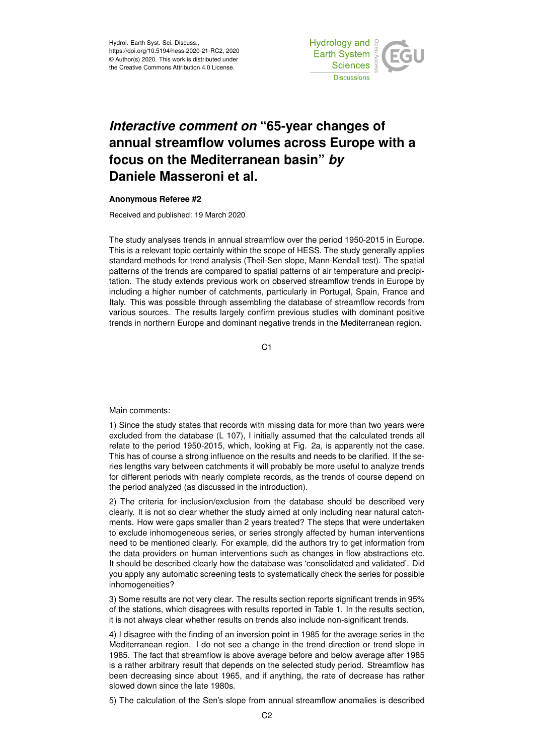Hydrol. Earth Syst. Sci. Discuss., https://doi.org/10.5194/hess-2020-21-RC2, 2020 © Author(s) 2020. This work is distributed under the Creative Commons Attribution 4.0 License.



## *Interactive comment on* **"65-year changes of annual streamflow volumes across Europe with a focus on the Mediterranean basin"** *by* **Daniele Masseroni et al.**

## **Anonymous Referee #2**

Received and published: 19 March 2020

The study analyses trends in annual streamflow over the period 1950-2015 in Europe. This is a relevant topic certainly within the scope of HESS. The study generally applies standard methods for trend analysis (Theil-Sen slope, Mann-Kendall test). The spatial patterns of the trends are compared to spatial patterns of air temperature and precipitation. The study extends previous work on observed streamflow trends in Europe by including a higher number of catchments, particularly in Portugal, Spain, France and Italy. This was possible through assembling the database of streamflow records from various sources. The results largely confirm previous studies with dominant positive trends in northern Europe and dominant negative trends in the Mediterranean region.

C<sub>1</sub>

Main comments:

1) Since the study states that records with missing data for more than two years were excluded from the database (L 107), I initially assumed that the calculated trends all relate to the period 1950-2015, which, looking at Fig. 2a, is apparently not the case. This has of course a strong influence on the results and needs to be clarified. If the series lengths vary between catchments it will probably be more useful to analyze trends for different periods with nearly complete records, as the trends of course depend on the period analyzed (as discussed in the introduction).

2) The criteria for inclusion/exclusion from the database should be described very clearly. It is not so clear whether the study aimed at only including near natural catchments. How were gaps smaller than 2 years treated? The steps that were undertaken to exclude inhomogeneous series, or series strongly affected by human interventions need to be mentioned clearly. For example, did the authors try to get information from the data providers on human interventions such as changes in flow abstractions etc. It should be described clearly how the database was 'consolidated and validated'. Did you apply any automatic screening tests to systematically check the series for possible inhomogeneities?

3) Some results are not very clear. The results section reports significant trends in 95% of the stations, which disagrees with results reported in Table 1. In the results section, it is not always clear whether results on trends also include non-significant trends.

4) I disagree with the finding of an inversion point in 1985 for the average series in the Mediterranean region. I do not see a change in the trend direction or trend slope in 1985. The fact that streamflow is above average before and below average after 1985 is a rather arbitrary result that depends on the selected study period. Streamflow has been decreasing since about 1965, and if anything, the rate of decrease has rather slowed down since the late 1980s.

5) The calculation of the Sen's slope from annual streamflow anomalies is described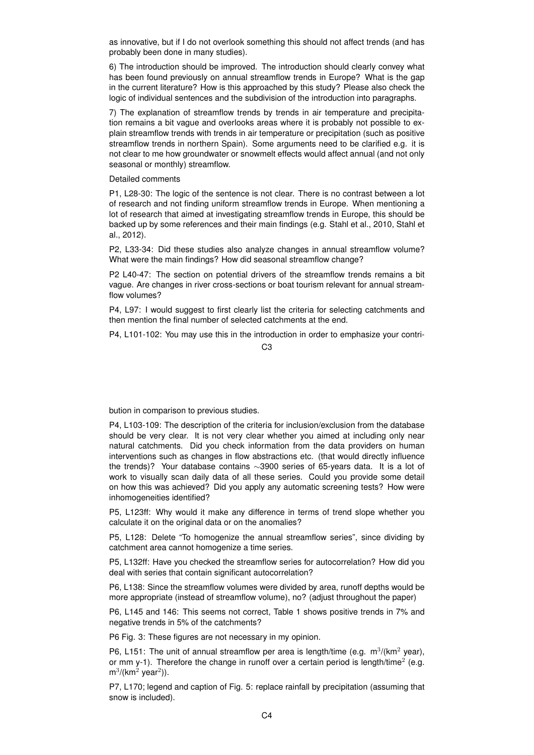as innovative, but if I do not overlook something this should not affect trends (and has probably been done in many studies).

6) The introduction should be improved. The introduction should clearly convey what has been found previously on annual streamflow trends in Europe? What is the gap in the current literature? How is this approached by this study? Please also check the logic of individual sentences and the subdivision of the introduction into paragraphs.

7) The explanation of streamflow trends by trends in air temperature and precipitation remains a bit vague and overlooks areas where it is probably not possible to explain streamflow trends with trends in air temperature or precipitation (such as positive streamflow trends in northern Spain). Some arguments need to be clarified e.g. it is not clear to me how groundwater or snowmelt effects would affect annual (and not only seasonal or monthly) streamflow.

## Detailed comments

P1, L28-30: The logic of the sentence is not clear. There is no contrast between a lot of research and not finding uniform streamflow trends in Europe. When mentioning a lot of research that aimed at investigating streamflow trends in Europe, this should be backed up by some references and their main findings (e.g. Stahl et al., 2010, Stahl et al., 2012).

P2, L33-34: Did these studies also analyze changes in annual streamflow volume? What were the main findings? How did seasonal streamflow change?

P2 L40-47: The section on potential drivers of the streamflow trends remains a bit vague. Are changes in river cross-sections or boat tourism relevant for annual streamflow volumes?

P4, L97: I would suggest to first clearly list the criteria for selecting catchments and then mention the final number of selected catchments at the end.

P4, L101-102: You may use this in the introduction in order to emphasize your contri-

## C3

bution in comparison to previous studies.

P4, L103-109: The description of the criteria for inclusion/exclusion from the database should be very clear. It is not very clear whether you aimed at including only near natural catchments. Did you check information from the data providers on human interventions such as changes in flow abstractions etc. (that would directly influence the trends)? Your database contains ∼3900 series of 65-years data. It is a lot of work to visually scan daily data of all these series. Could you provide some detail on how this was achieved? Did you apply any automatic screening tests? How were inhomogeneities identified?

P5, L123ff: Why would it make any difference in terms of trend slope whether you calculate it on the original data or on the anomalies?

P5, L128: Delete "To homogenize the annual streamflow series", since dividing by catchment area cannot homogenize a time series.

P5, L132ff: Have you checked the streamflow series for autocorrelation? How did you deal with series that contain significant autocorrelation?

P6, L138: Since the streamflow volumes were divided by area, runoff depths would be more appropriate (instead of streamflow volume), no? (adjust throughout the paper)

P6, L145 and 146: This seems not correct, Table 1 shows positive trends in 7% and negative trends in 5% of the catchments?

P6 Fig. 3: These figures are not necessary in my opinion.

P6, L151: The unit of annual streamflow per area is length/time (e.g.  $m^3/(km^2 \text{ year})$ , or mm y-1). Therefore the change in runoff over a certain period is length/time<sup>2</sup> (e.g.  $m^3$ /(km<sup>2</sup> year<sup>2</sup>)).

P7, L170; legend and caption of Fig. 5: replace rainfall by precipitation (assuming that snow is included).